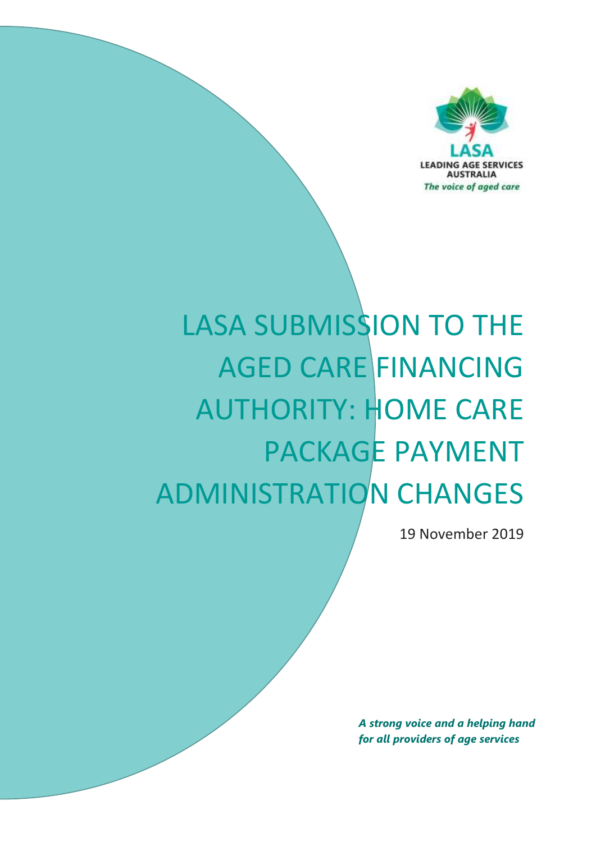

# LASA SUBMISSION TO THE AGED CARE FINANCING AUTHORITY: HOME CARE PACKAGE PAYMENT ADMINISTRATION CHANGES

19 November 2019

*A strong voice and a helping hand for all providers of age services*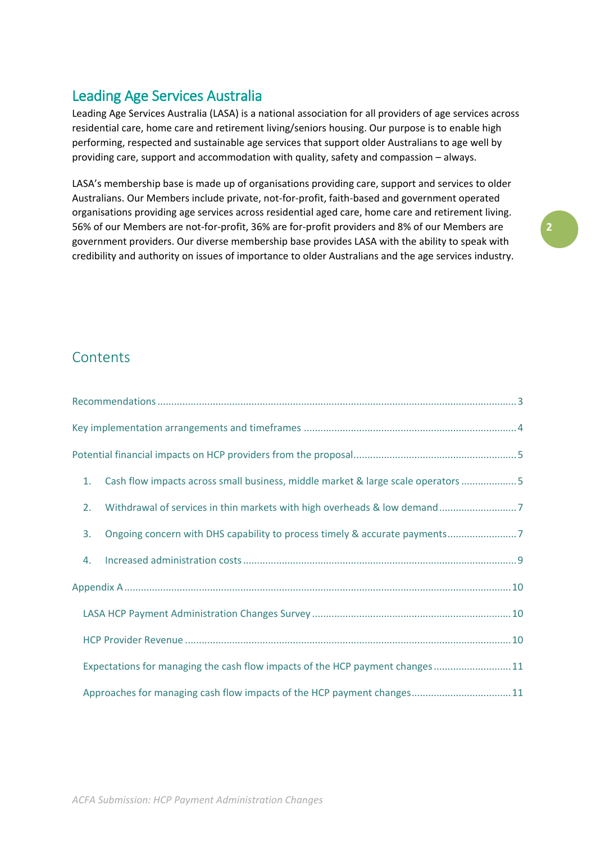# Leading Age Services Australia

Leading Age Services Australia (LASA) is a national association for all providers of age services across residential care, home care and retirement living/seniors housing. Our purpose is to enable high performing, respected and sustainable age services that support older Australians to age well by providing care, support and accommodation with quality, safety and compassion – always.

LASA's membership base is made up of organisations providing care, support and services to older Australians. Our Members include private, not-for-profit, faith-based and government operated organisations providing age services across residential aged care, home care and retirement living. 56% of our Members are not-for-profit, 36% are for-profit providers and 8% of our Members are government providers. Our diverse membership base provides LASA with the ability to speak with credibility and authority on issues of importance to older Australians and the age services industry.

# **Contents**

| 1. | Cash flow impacts across small business, middle market & large scale operators  5 |
|----|-----------------------------------------------------------------------------------|
| 2. |                                                                                   |
| 3. | Ongoing concern with DHS capability to process timely & accurate payments7        |
| 4. |                                                                                   |
|    |                                                                                   |
|    |                                                                                   |
|    |                                                                                   |
|    | Expectations for managing the cash flow impacts of the HCP payment changes11      |
|    | Approaches for managing cash flow impacts of the HCP payment changes11            |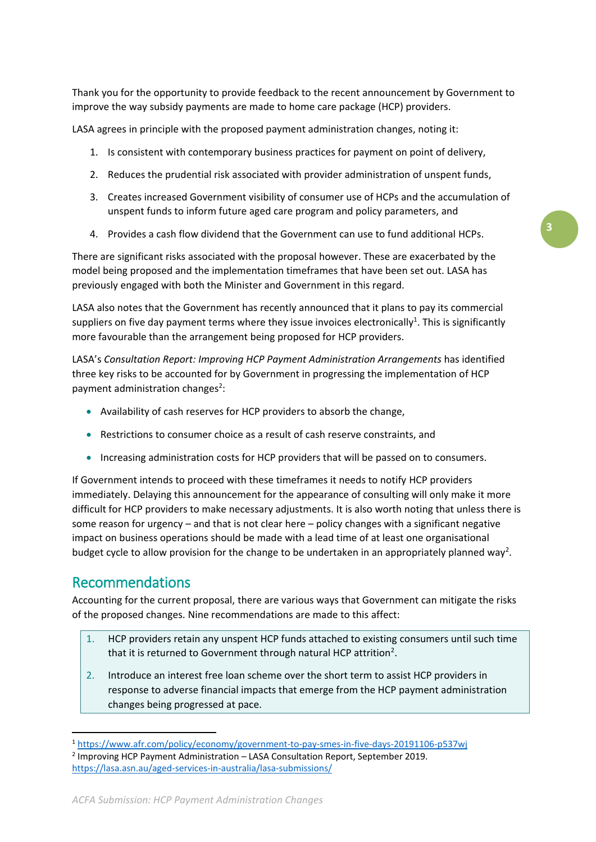Thank you for the opportunity to provide feedback to the recent announcement by Government to improve the way subsidy payments are made to home care package (HCP) providers.

LASA agrees in principle with the proposed payment administration changes, noting it:

- 1. Is consistent with contemporary business practices for payment on point of delivery,
- 2. Reduces the prudential risk associated with provider administration of unspent funds,
- 3. Creates increased Government visibility of consumer use of HCPs and the accumulation of unspent funds to inform future aged care program and policy parameters, and

**3**

4. Provides a cash flow dividend that the Government can use to fund additional HCPs.

There are significant risks associated with the proposal however. These are exacerbated by the model being proposed and the implementation timeframes that have been set out. LASA has previously engaged with both the Minister and Government in this regard.

LASA also notes that the Government has recently announced that it plans to pay its commercial suppliers on five day payment terms where they issue invoices electronically<sup>1</sup>. This is significantly more favourable than the arrangement being proposed for HCP providers.

LASA's *Consultation Report: Improving HCP Payment Administration Arrangements* has identified three key risks to be accounted for by Government in progressing the implementation of HCP payment administration changes<sup>2</sup>:

- Availability of cash reserves for HCP providers to absorb the change,
- Restrictions to consumer choice as a result of cash reserve constraints, and
- Increasing administration costs for HCP providers that will be passed on to consumers.

If Government intends to proceed with these timeframes it needs to notify HCP providers immediately. Delaying this announcement for the appearance of consulting will only make it more difficult for HCP providers to make necessary adjustments. It is also worth noting that unless there is some reason for urgency – and that is not clear here – policy changes with a significant negative impact on business operations should be made with a lead time of at least one organisational budget cycle to allow provision for the change to be undertaken in an appropriately planned way<sup>2</sup>.

## <span id="page-2-0"></span>Recommendations

**.** 

Accounting for the current proposal, there are various ways that Government can mitigate the risks of the proposed changes. Nine recommendations are made to this affect:

- 1. HCP providers retain any unspent HCP funds attached to existing consumers until such time that it is returned to Government through natural HCP attrition<sup>2</sup>.
- 2. Introduce an interest free loan scheme over the short term to assist HCP providers in response to adverse financial impacts that emerge from the HCP payment administration changes being progressed at pace.

<sup>1</sup> <https://www.afr.com/policy/economy/government-to-pay-smes-in-five-days-20191106-p537wj>

<sup>&</sup>lt;sup>2</sup> Improving HCP Payment Administration - LASA Consultation Report, September 2019. <https://lasa.asn.au/aged-services-in-australia/lasa-submissions/>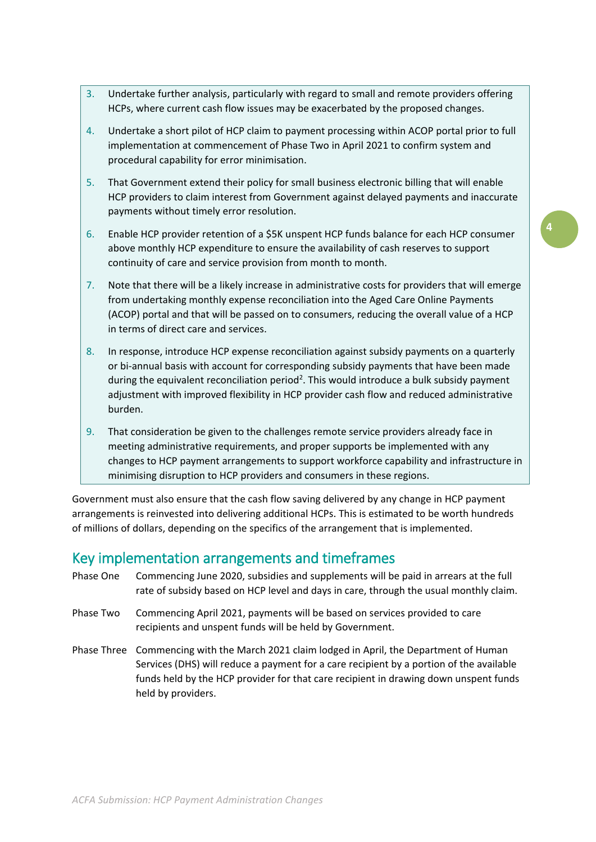- 3. Undertake further analysis, particularly with regard to small and remote providers offering HCPs, where current cash flow issues may be exacerbated by the proposed changes.
- 4. Undertake a short pilot of HCP claim to payment processing within ACOP portal prior to full implementation at commencement of Phase Two in April 2021 to confirm system and procedural capability for error minimisation.
- 5. That Government extend their policy for small business electronic billing that will enable HCP providers to claim interest from Government against delayed payments and inaccurate payments without timely error resolution.
- 6. Enable HCP provider retention of a \$5K unspent HCP funds balance for each HCP consumer above monthly HCP expenditure to ensure the availability of cash reserves to support continuity of care and service provision from month to month.
- 7. Note that there will be a likely increase in administrative costs for providers that will emerge from undertaking monthly expense reconciliation into the Aged Care Online Payments (ACOP) portal and that will be passed on to consumers, reducing the overall value of a HCP in terms of direct care and services.
- 8. In response, introduce HCP expense reconciliation against subsidy payments on a quarterly or bi-annual basis with account for corresponding subsidy payments that have been made during the equivalent reconciliation period<sup>2</sup>. This would introduce a bulk subsidy payment adjustment with improved flexibility in HCP provider cash flow and reduced administrative burden.
- 9. That consideration be given to the challenges remote service providers already face in meeting administrative requirements, and proper supports be implemented with any changes to HCP payment arrangements to support workforce capability and infrastructure in minimising disruption to HCP providers and consumers in these regions.

Government must also ensure that the cash flow saving delivered by any change in HCP payment arrangements is reinvested into delivering additional HCPs. This is estimated to be worth hundreds of millions of dollars, depending on the specifics of the arrangement that is implemented.

# <span id="page-3-0"></span>Key implementation arrangements and timeframes

- Phase One Commencing June 2020, subsidies and supplements will be paid in arrears at the full rate of subsidy based on HCP level and days in care, through the usual monthly claim.
- Phase Two Commencing April 2021, payments will be based on services provided to care recipients and unspent funds will be held by Government.
- Phase Three Commencing with the March 2021 claim lodged in April, the Department of Human Services (DHS) will reduce a payment for a care recipient by a portion of the available funds held by the HCP provider for that care recipient in drawing down unspent funds held by providers.

*ACFA Submission: HCP Payment Administration Changes*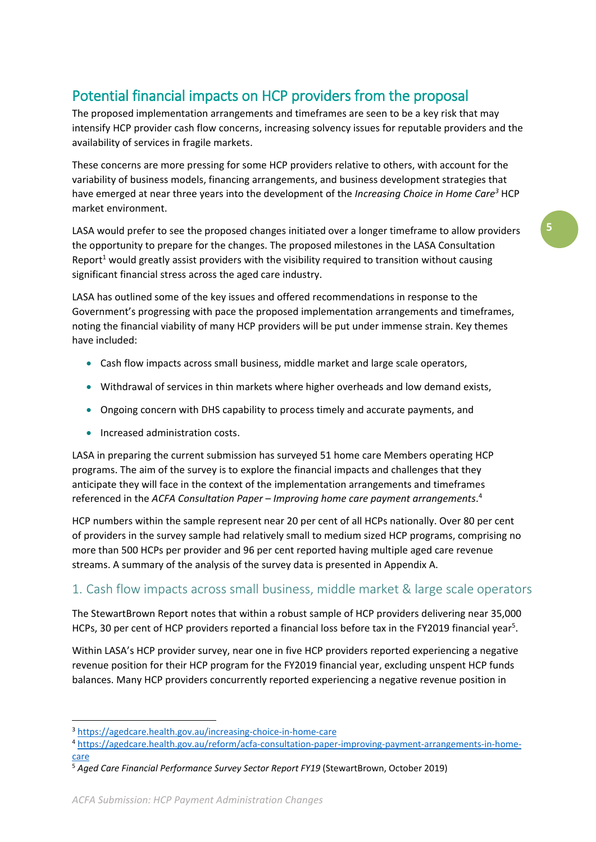# <span id="page-4-0"></span>Potential financial impacts on HCP providers from the proposal

The proposed implementation arrangements and timeframes are seen to be a key risk that may intensify HCP provider cash flow concerns, increasing solvency issues for reputable providers and the availability of services in fragile markets.

These concerns are more pressing for some HCP providers relative to others, with account for the variability of business models, financing arrangements, and business development strategies that have emerged at near three years into the development of the *Increasing Choice in Home Care<sup>3</sup>* HCP market environment.

LASA would prefer to see the proposed changes initiated over a longer timeframe to allow providers the opportunity to prepare for the changes. The proposed milestones in the LASA Consultation Report<sup>1</sup> would greatly assist providers with the visibility required to transition without causing significant financial stress across the aged care industry.

LASA has outlined some of the key issues and offered recommendations in response to the Government's progressing with pace the proposed implementation arrangements and timeframes, noting the financial viability of many HCP providers will be put under immense strain. Key themes have included:

- Cash flow impacts across small business, middle market and large scale operators,
- Withdrawal of services in thin markets where higher overheads and low demand exists,
- Ongoing concern with DHS capability to process timely and accurate payments, and
- Increased administration costs.

LASA in preparing the current submission has surveyed 51 home care Members operating HCP programs. The aim of the survey is to explore the financial impacts and challenges that they anticipate they will face in the context of the implementation arrangements and timeframes referenced in the *ACFA Consultation Paper – Improving home care payment arrangements*. 4

HCP numbers within the sample represent near 20 per cent of all HCPs nationally. Over 80 per cent of providers in the survey sample had relatively small to medium sized HCP programs, comprising no more than 500 HCPs per provider and 96 per cent reported having multiple aged care revenue streams. A summary of the analysis of the survey data is presented in Appendix A.

## <span id="page-4-1"></span>1. Cash flow impacts across small business, middle market & large scale operators

The StewartBrown Report notes that within a robust sample of HCP providers delivering near 35,000 HCPs, 30 per cent of HCP providers reported a financial loss before tax in the FY2019 financial year<sup>5</sup>.

Within LASA's HCP provider survey, near one in five HCP providers reported experiencing a negative revenue position for their HCP program for the FY2019 financial year, excluding unspent HCP funds balances. Many HCP providers concurrently reported experiencing a negative revenue position in

**.** 

<sup>3</sup> <https://agedcare.health.gov.au/increasing-choice-in-home-care>

<sup>4</sup> [https://agedcare.health.gov.au/reform/acfa-consultation-paper-improving-payment-arrangements-in-home](https://agedcare.health.gov.au/reform/acfa-consultation-paper-improving-payment-arrangements-in-home-care)[care](https://agedcare.health.gov.au/reform/acfa-consultation-paper-improving-payment-arrangements-in-home-care)

<sup>5</sup> *Aged Care Financial Performance Survey Sector Report FY19* (StewartBrown, October 2019)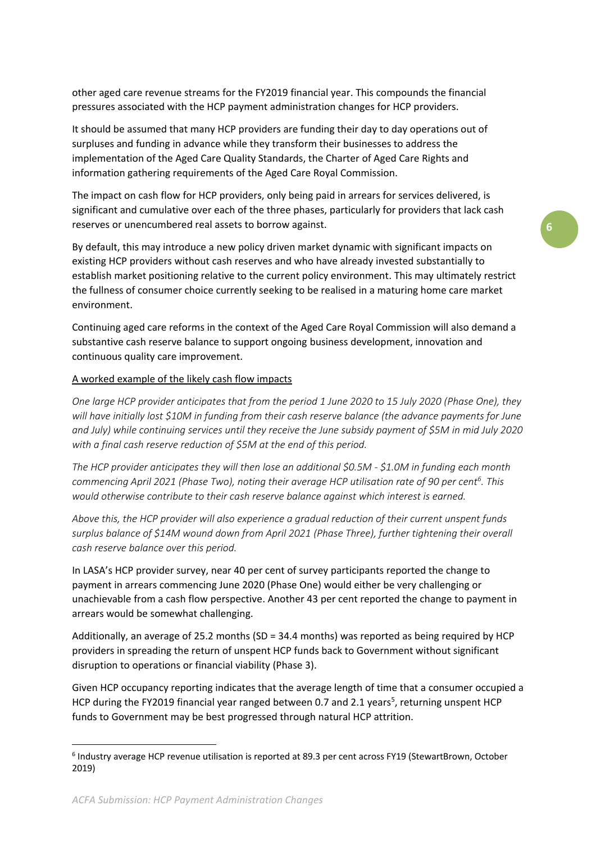other aged care revenue streams for the FY2019 financial year. This compounds the financial pressures associated with the HCP payment administration changes for HCP providers.

It should be assumed that many HCP providers are funding their day to day operations out of surpluses and funding in advance while they transform their businesses to address the implementation of the Aged Care Quality Standards, the Charter of Aged Care Rights and information gathering requirements of the Aged Care Royal Commission.

The impact on cash flow for HCP providers, only being paid in arrears for services delivered, is significant and cumulative over each of the three phases, particularly for providers that lack cash reserves or unencumbered real assets to borrow against.

By default, this may introduce a new policy driven market dynamic with significant impacts on existing HCP providers without cash reserves and who have already invested substantially to establish market positioning relative to the current policy environment. This may ultimately restrict the fullness of consumer choice currently seeking to be realised in a maturing home care market environment.

Continuing aged care reforms in the context of the Aged Care Royal Commission will also demand a substantive cash reserve balance to support ongoing business development, innovation and continuous quality care improvement.

#### A worked example of the likely cash flow impacts

*One large HCP provider anticipates that from the period 1 June 2020 to 15 July 2020 (Phase One), they will have initially lost \$10M in funding from their cash reserve balance (the advance payments for June and July) while continuing services until they receive the June subsidy payment of \$5M in mid July 2020 with a final cash reserve reduction of \$5M at the end of this period.*

*The HCP provider anticipates they will then lose an additional \$0.5M - \$1.0M in funding each month commencing April 2021 (Phase Two), noting their average HCP utilisation rate of 90 per cent<sup>6</sup> . This would otherwise contribute to their cash reserve balance against which interest is earned.*

*Above this, the HCP provider will also experience a gradual reduction of their current unspent funds surplus balance of \$14M wound down from April 2021 (Phase Three), further tightening their overall cash reserve balance over this period.*

In LASA's HCP provider survey, near 40 per cent of survey participants reported the change to payment in arrears commencing June 2020 (Phase One) would either be very challenging or unachievable from a cash flow perspective. Another 43 per cent reported the change to payment in arrears would be somewhat challenging.

Additionally, an average of 25.2 months (SD = 34.4 months) was reported as being required by HCP providers in spreading the return of unspent HCP funds back to Government without significant disruption to operations or financial viability (Phase 3).

Given HCP occupancy reporting indicates that the average length of time that a consumer occupied a HCP during the FY2019 financial year ranged between 0.7 and 2.1 years<sup>5</sup>, returning unspent HCP funds to Government may be best progressed through natural HCP attrition.

**.** 

<sup>6</sup> Industry average HCP revenue utilisation is reported at 89.3 per cent across FY19 (StewartBrown, October 2019)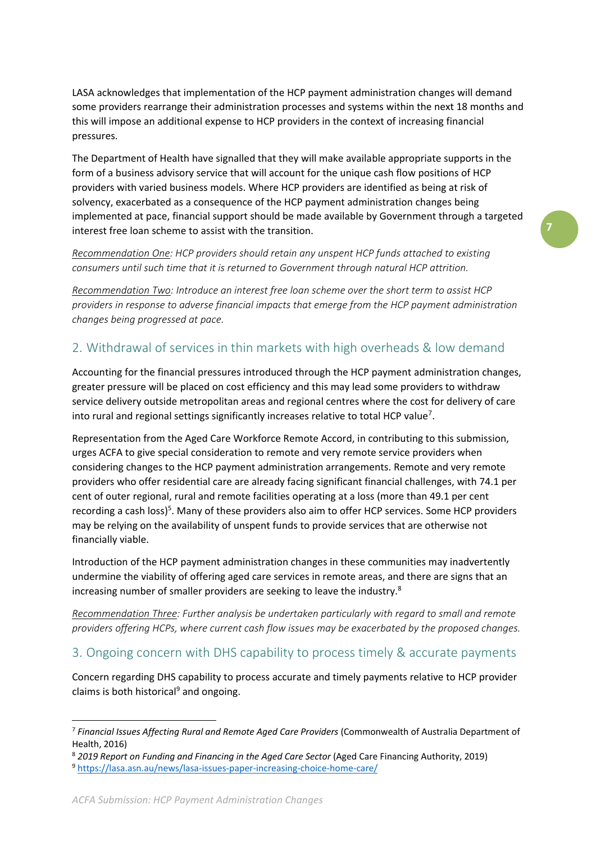LASA acknowledges that implementation of the HCP payment administration changes will demand some providers rearrange their administration processes and systems within the next 18 months and this will impose an additional expense to HCP providers in the context of increasing financial pressures.

The Department of Health have signalled that they will make available appropriate supports in the form of a business advisory service that will account for the unique cash flow positions of HCP providers with varied business models. Where HCP providers are identified as being at risk of solvency, exacerbated as a consequence of the HCP payment administration changes being implemented at pace, financial support should be made available by Government through a targeted interest free loan scheme to assist with the transition.

*Recommendation One: HCP providers should retain any unspent HCP funds attached to existing consumers until such time that it is returned to Government through natural HCP attrition.*

*Recommendation Two: Introduce an interest free loan scheme over the short term to assist HCP providers in response to adverse financial impacts that emerge from the HCP payment administration changes being progressed at pace.*

# <span id="page-6-0"></span>2. Withdrawal of services in thin markets with high overheads & low demand

Accounting for the financial pressures introduced through the HCP payment administration changes, greater pressure will be placed on cost efficiency and this may lead some providers to withdraw service delivery outside metropolitan areas and regional centres where the cost for delivery of care into rural and regional settings significantly increases relative to total HCP value<sup>7</sup>.

Representation from the Aged Care Workforce Remote Accord, in contributing to this submission, urges ACFA to give special consideration to remote and very remote service providers when considering changes to the HCP payment administration arrangements. Remote and very remote providers who offer residential care are already facing significant financial challenges, with 74.1 per cent of outer regional, rural and remote facilities operating at a loss (more than 49.1 per cent recording a cash loss)<sup>5</sup>. Many of these providers also aim to offer HCP services. Some HCP providers may be relying on the availability of unspent funds to provide services that are otherwise not financially viable.

Introduction of the HCP payment administration changes in these communities may inadvertently undermine the viability of offering aged care services in remote areas, and there are signs that an increasing number of smaller providers are seeking to leave the industry.<sup>8</sup>

*Recommendation Three: Further analysis be undertaken particularly with regard to small and remote providers offering HCPs, where current cash flow issues may be exacerbated by the proposed changes.*

## <span id="page-6-1"></span>3. Ongoing concern with DHS capability to process timely & accurate payments

Concern regarding DHS capability to process accurate and timely payments relative to HCP provider claims is both historical<sup>9</sup> and ongoing.

**.** 

<sup>7</sup> *Financial Issues Affecting Rural and Remote Aged Care Providers* (Commonwealth of Australia Department of Health, 2016)

<sup>8</sup> *2019 Report on Funding and Financing in the Aged Care Sector* (Aged Care Financing Authority, 2019) <sup>9</sup> <https://lasa.asn.au/news/lasa-issues-paper-increasing-choice-home-care/>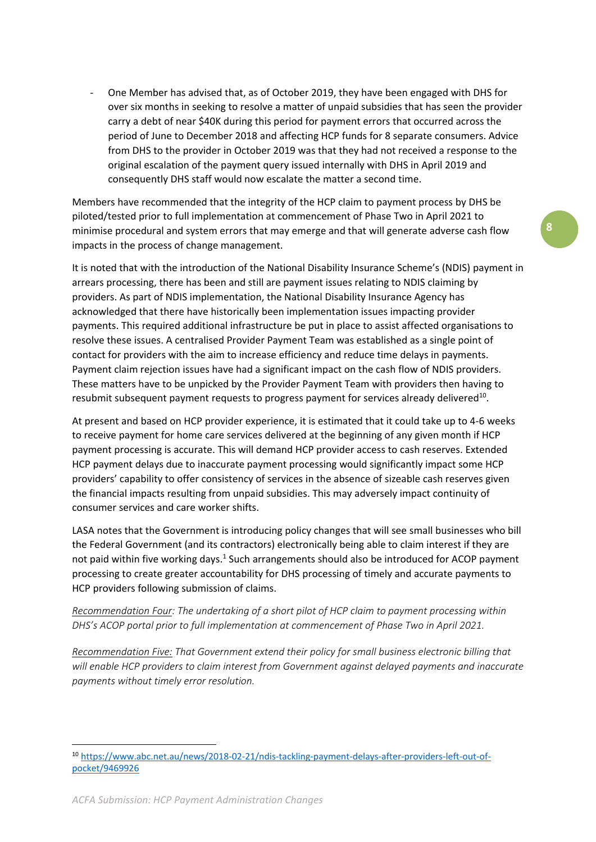One Member has advised that, as of October 2019, they have been engaged with DHS for over six months in seeking to resolve a matter of unpaid subsidies that has seen the provider carry a debt of near \$40K during this period for payment errors that occurred across the period of June to December 2018 and affecting HCP funds for 8 separate consumers. Advice from DHS to the provider in October 2019 was that they had not received a response to the original escalation of the payment query issued internally with DHS in April 2019 and consequently DHS staff would now escalate the matter a second time.

Members have recommended that the integrity of the HCP claim to payment process by DHS be piloted/tested prior to full implementation at commencement of Phase Two in April 2021 to minimise procedural and system errors that may emerge and that will generate adverse cash flow impacts in the process of change management.

It is noted that with the introduction of the National Disability Insurance Scheme's (NDIS) payment in arrears processing, there has been and still are payment issues relating to NDIS claiming by providers. As part of NDIS implementation, the National Disability Insurance Agency has acknowledged that there have historically been implementation issues impacting provider payments. This required additional infrastructure be put in place to assist affected organisations to resolve these issues. A centralised Provider Payment Team was established as a single point of contact for providers with the aim to increase efficiency and reduce time delays in payments. Payment claim rejection issues have had a significant impact on the cash flow of NDIS providers. These matters have to be unpicked by the Provider Payment Team with providers then having to resubmit subsequent payment requests to progress payment for services already delivered<sup>10</sup>.

At present and based on HCP provider experience, it is estimated that it could take up to 4-6 weeks to receive payment for home care services delivered at the beginning of any given month if HCP payment processing is accurate. This will demand HCP provider access to cash reserves. Extended HCP payment delays due to inaccurate payment processing would significantly impact some HCP providers' capability to offer consistency of services in the absence of sizeable cash reserves given the financial impacts resulting from unpaid subsidies. This may adversely impact continuity of consumer services and care worker shifts.

LASA notes that the Government is introducing policy changes that will see small businesses who bill the Federal Government (and its contractors) electronically being able to claim interest if they are not paid within five working days.<sup>1</sup> Such arrangements should also be introduced for ACOP payment processing to create greater accountability for DHS processing of timely and accurate payments to HCP providers following submission of claims.

*Recommendation Four: The undertaking of a short pilot of HCP claim to payment processing within DHS's ACOP portal prior to full implementation at commencement of Phase Two in April 2021.*

*Recommendation Five: That Government extend their policy for small business electronic billing that will enable HCP providers to claim interest from Government against delayed payments and inaccurate payments without timely error resolution.*

**<sup>.</sup>** <sup>10</sup> [https://www.abc.net.au/news/2018-02-21/ndis-tackling-payment-delays-after-providers-left-out-of](https://www.abc.net.au/news/2018-02-21/ndis-tackling-payment-delays-after-providers-left-out-of-pocket/9469926)[pocket/9469926](https://www.abc.net.au/news/2018-02-21/ndis-tackling-payment-delays-after-providers-left-out-of-pocket/9469926)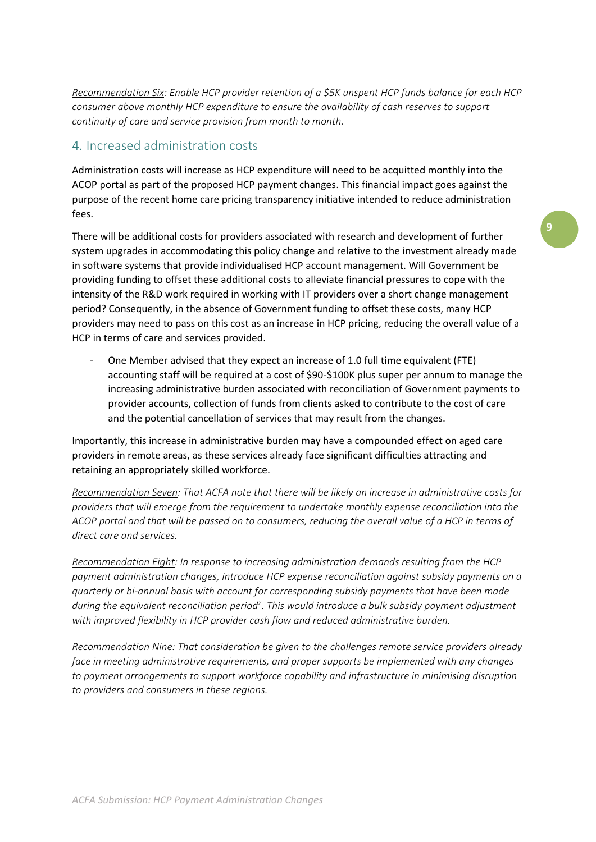*Recommendation Six: Enable HCP provider retention of a \$5K unspent HCP funds balance for each HCP consumer above monthly HCP expenditure to ensure the availability of cash reserves to support continuity of care and service provision from month to month.*

#### <span id="page-8-0"></span>4. Increased administration costs

Administration costs will increase as HCP expenditure will need to be acquitted monthly into the ACOP portal as part of the proposed HCP payment changes. This financial impact goes against the purpose of the recent home care pricing transparency initiative intended to reduce administration fees.

There will be additional costs for providers associated with research and development of further system upgrades in accommodating this policy change and relative to the investment already made in software systems that provide individualised HCP account management. Will Government be providing funding to offset these additional costs to alleviate financial pressures to cope with the intensity of the R&D work required in working with IT providers over a short change management period? Consequently, in the absence of Government funding to offset these costs, many HCP providers may need to pass on this cost as an increase in HCP pricing, reducing the overall value of a HCP in terms of care and services provided.

- One Member advised that they expect an increase of 1.0 full time equivalent (FTE) accounting staff will be required at a cost of \$90-\$100K plus super per annum to manage the increasing administrative burden associated with reconciliation of Government payments to provider accounts, collection of funds from clients asked to contribute to the cost of care and the potential cancellation of services that may result from the changes.

Importantly, this increase in administrative burden may have a compounded effect on aged care providers in remote areas, as these services already face significant difficulties attracting and retaining an appropriately skilled workforce.

*Recommendation Seven: That ACFA note that there will be likely an increase in administrative costs for providers that will emerge from the requirement to undertake monthly expense reconciliation into the ACOP portal and that will be passed on to consumers, reducing the overall value of a HCP in terms of direct care and services.*

*Recommendation Eight: In response to increasing administration demands resulting from the HCP payment administration changes, introduce HCP expense reconciliation against subsidy payments on a quarterly or bi-annual basis with account for corresponding subsidy payments that have been made during the equivalent reconciliation period<sup>2</sup> . This would introduce a bulk subsidy payment adjustment with improved flexibility in HCP provider cash flow and reduced administrative burden.* 

*Recommendation Nine: That consideration be given to the challenges remote service providers already face in meeting administrative requirements, and proper supports be implemented with any changes to payment arrangements to support workforce capability and infrastructure in minimising disruption to providers and consumers in these regions.*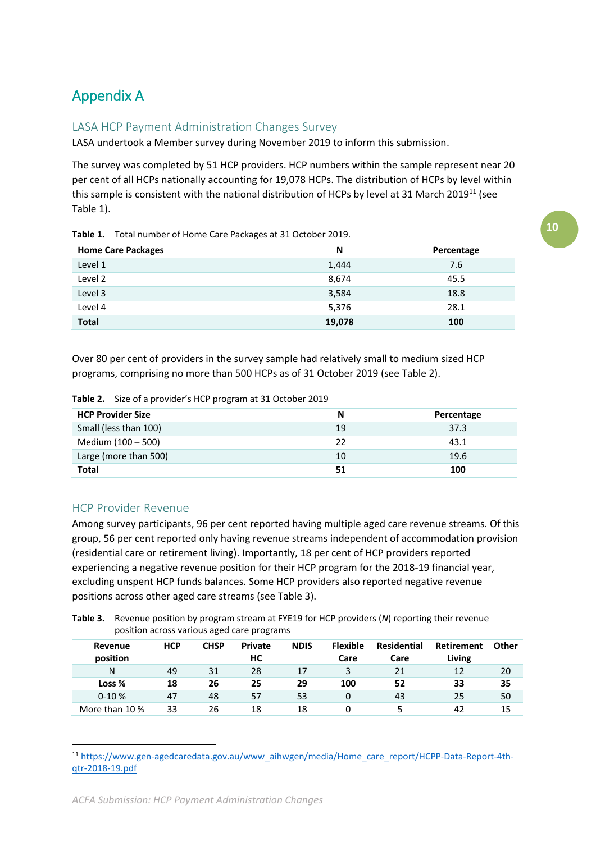# <span id="page-9-0"></span>Appendix A

## <span id="page-9-1"></span>LASA HCP Payment Administration Changes Survey

LASA undertook a Member survey during November 2019 to inform this submission.

The survey was completed by 51 HCP providers. HCP numbers within the sample represent near 20 per cent of all HCPs nationally accounting for 19,078 HCPs. The distribution of HCPs by level within this sample is consistent with the national distribution of HCPs by level at 31 March 2019<sup>11</sup> (see Table 1).

**Table 1.** Total number of Home Care Packages at 31 October 2019.

| <b>Home Care Packages</b> | N      | Percentage |
|---------------------------|--------|------------|
| Level 1                   | 1,444  | 7.6        |
| Level 2                   | 8,674  | 45.5       |
| Level 3                   | 3,584  | 18.8       |
| Level 4                   | 5,376  | 28.1       |
| <b>Total</b>              | 19,078 | 100        |

Over 80 per cent of providers in the survey sample had relatively small to medium sized HCP programs, comprising no more than 500 HCPs as of 31 October 2019 (see Table 2).

| Table 2. Size of a provider's HCP program at 31 October 2019 |
|--------------------------------------------------------------|
|                                                              |

| <b>HCP Provider Size</b> | N  | Percentage |
|--------------------------|----|------------|
| Small (less than 100)    | 19 | 37.3       |
| Medium (100 - 500)       | フフ | 43.1       |
| Large (more than 500)    | 10 | 19.6       |
| Total                    |    | 100        |

## <span id="page-9-2"></span>HCP Provider Revenue

**.** 

Among survey participants, 96 per cent reported having multiple aged care revenue streams. Of this group, 56 per cent reported only having revenue streams independent of accommodation provision (residential care or retirement living). Importantly, 18 per cent of HCP providers reported experiencing a negative revenue position for their HCP program for the 2018-19 financial year, excluding unspent HCP funds balances. Some HCP providers also reported negative revenue positions across other aged care streams (see Table 3).

**Table 3.** Revenue position by program stream at FYE19 for HCP providers (*N*) reporting their revenue position across various aged care programs

| Revenue<br>position | <b>HCP</b> | <b>CHSP</b> | <b>Private</b><br>HС | <b>NDIS</b> | <b>Flexible</b><br>Care | Residential<br>Care | <b>Retirement</b><br>Living | Other |
|---------------------|------------|-------------|----------------------|-------------|-------------------------|---------------------|-----------------------------|-------|
| N                   | 49         | 31          | 28                   | 17          | 3                       | 21                  | 12                          | 20    |
| Loss %              | 18         | 26          | 25                   | 29          | 100                     | 52                  | 33                          | 35    |
| $0-10%$             | 47         | 48          | 57                   | 53          | 0                       | 43                  | 25                          | 50    |
| More than 10 %      | 33         | 26          | 18                   | 18          |                         |                     | 42                          | 15    |

<sup>11</sup> [https://www.gen-agedcaredata.gov.au/www\\_aihwgen/media/Home\\_care\\_report/HCPP-Data-Report-4th](https://www.gen-agedcaredata.gov.au/www_aihwgen/media/Home_care_report/HCPP-Data-Report-4th-qtr-2018-19.pdf)[qtr-2018-19.pdf](https://www.gen-agedcaredata.gov.au/www_aihwgen/media/Home_care_report/HCPP-Data-Report-4th-qtr-2018-19.pdf)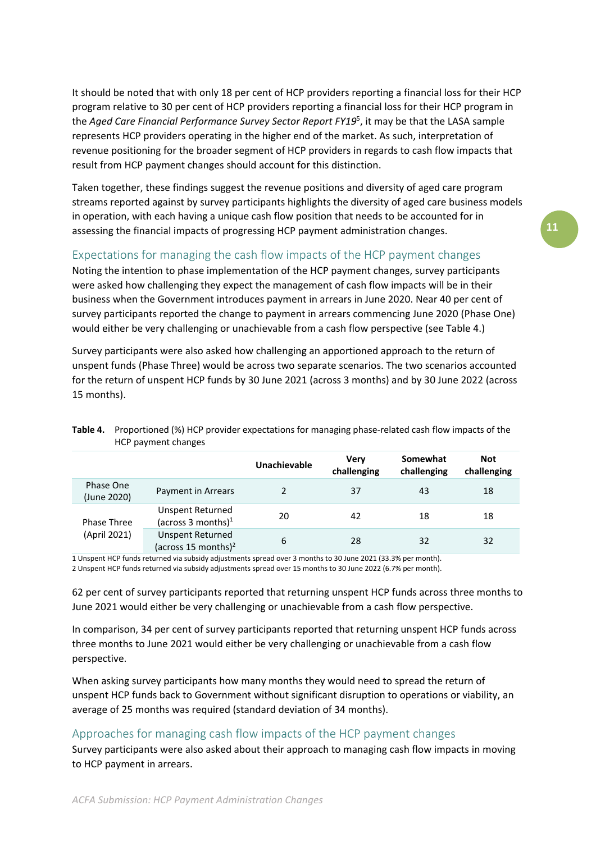It should be noted that with only 18 per cent of HCP providers reporting a financial loss for their HCP program relative to 30 per cent of HCP providers reporting a financial loss for their HCP program in the *Aged Care Financial Performance Survey Sector Report FY19*<sup>5</sup> , it may be that the LASA sample represents HCP providers operating in the higher end of the market. As such, interpretation of revenue positioning for the broader segment of HCP providers in regards to cash flow impacts that result from HCP payment changes should account for this distinction.

Taken together, these findings suggest the revenue positions and diversity of aged care program streams reported against by survey participants highlights the diversity of aged care business models in operation, with each having a unique cash flow position that needs to be accounted for in assessing the financial impacts of progressing HCP payment administration changes.

## <span id="page-10-0"></span>Expectations for managing the cash flow impacts of the HCP payment changes

Noting the intention to phase implementation of the HCP payment changes, survey participants were asked how challenging they expect the management of cash flow impacts will be in their business when the Government introduces payment in arrears in June 2020. Near 40 per cent of survey participants reported the change to payment in arrears commencing June 2020 (Phase One) would either be very challenging or unachievable from a cash flow perspective (see Table 4.)

Survey participants were also asked how challenging an apportioned approach to the return of unspent funds (Phase Three) would be across two separate scenarios. The two scenarios accounted for the return of unspent HCP funds by 30 June 2021 (across 3 months) and by 30 June 2022 (across 15 months).

|                          |                                                            | Unachievable | Verv<br>challenging | Somewhat<br>challenging | <b>Not</b><br>challenging |  |
|--------------------------|------------------------------------------------------------|--------------|---------------------|-------------------------|---------------------------|--|
| Phase One<br>(June 2020) | Payment in Arrears                                         |              | 37                  | 43                      | 18                        |  |
| Phase Three              | Unspent Returned<br>(across 3 months) $1$                  | 20           | 42                  | 18                      | 18                        |  |
| (April 2021)             | <b>Unspent Returned</b><br>(across 15 months) <sup>2</sup> | 6            | 28                  | 32                      | 32                        |  |

**Table 4.** Proportioned (%) HCP provider expectations for managing phase-related cash flow impacts of the HCP payment changes

1 Unspent HCP funds returned via subsidy adjustments spread over 3 months to 30 June 2021 (33.3% per month). 2 Unspent HCP funds returned via subsidy adjustments spread over 15 months to 30 June 2022 (6.7% per month).

62 per cent of survey participants reported that returning unspent HCP funds across three months to June 2021 would either be very challenging or unachievable from a cash flow perspective.

In comparison, 34 per cent of survey participants reported that returning unspent HCP funds across three months to June 2021 would either be very challenging or unachievable from a cash flow perspective.

When asking survey participants how many months they would need to spread the return of unspent HCP funds back to Government without significant disruption to operations or viability, an average of 25 months was required (standard deviation of 34 months).

#### <span id="page-10-1"></span>Approaches for managing cash flow impacts of the HCP payment changes

Survey participants were also asked about their approach to managing cash flow impacts in moving to HCP payment in arrears.